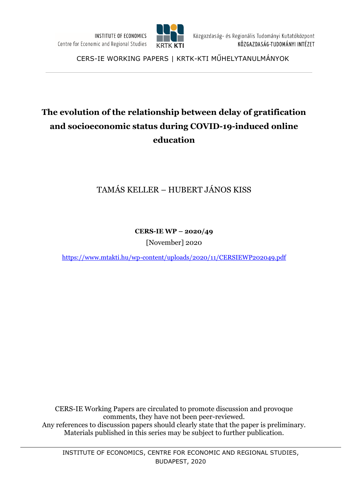

CERS-IE WORKING PAPERS | KRTK-KTI MŰHELYTANULMÁNYOK

# **The evolution of the relationship between delay of gratification and socioeconomic status during COVID-19-induced online education**

# TAMÁS KELLER – HUBERT JÁNOS KISS

**CERS-IE WP – 2020/49**

[November] 2020

<https://www.mtakti.hu/wp-content/uploads/2020/11/CERSIEWP202049.pdf>

CERS-IE Working Papers are circulated to promote discussion and provoque comments, they have not been peer-reviewed. Any references to discussion papers should clearly state that the paper is preliminary. Materials published in this series may be subject to further publication.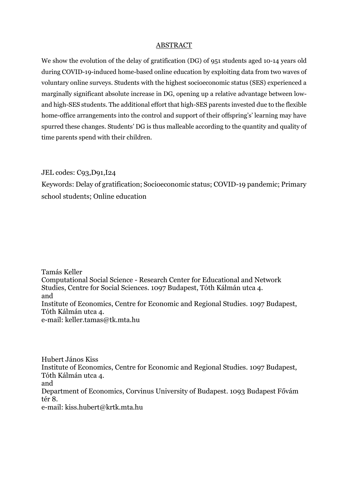#### ABSTRACT

We show the evolution of the delay of gratification (DG) of 951 students aged 10-14 years old during COVID-19-induced home-based online education by exploiting data from two waves of voluntary online surveys. Students with the highest socioeconomic status (SES) experienced a marginally significant absolute increase in DG, opening up a relative advantage between lowand high-SES students. The additional effort that high-SES parents invested due to the flexible home-office arrangements into the control and support of their offspring's' learning may have spurred these changes. Students' DG is thus malleable according to the quantity and quality of time parents spend with their children.

JEL codes: C93,D91,I24

Keywords: Delay of gratification; Socioeconomic status; COVID-19 pandemic; Primary school students; Online education

Tamás Keller Computational Social Science - Research Center for Educational and Network Studies, Centre for Social Sciences. 1097 Budapest, Tóth Kálmán utca 4. and Institute of Economics, Centre for Economic and Regional Studies. 1097 Budapest, Tóth Kálmán utca 4. e-mail: [keller.tamas@tk.mta.hu](mailto:keller.tamas@tk.mta.hu)

Hubert János Kiss Institute of Economics, Centre for Economic and Regional Studies. 1097 Budapest, Tóth Kálmán utca 4. and Department of Economics, Corvinus University of Budapest. 1093 Budapest Fővám tér 8. e-mail: kiss.hubert@krtk.mta.hu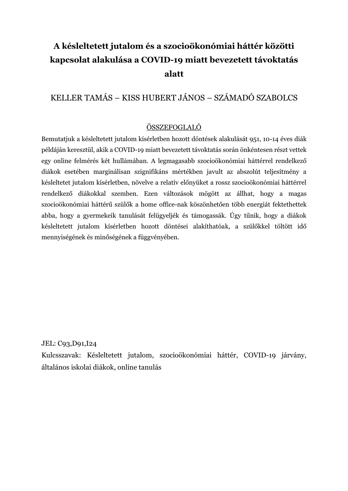# **A késleltetett jutalom és a szocioökonómiai háttér közötti kapcsolat alakulása a COVID-19 miatt bevezetett távoktatás alatt**

# KELLER TAMÁS – KISS HUBERT JÁNOS – SZÁMADÓ SZABOLCS

# ÖSSZEFOGLALÓ

Bemutatjuk a késleltetett jutalom kísérletben hozott döntések alakulását 951, 10-14 éves diák példáján keresztül, akik a COVID-19 miatt bevezetett távoktatás során önkéntesen részt vettek egy online felmérés két hullámában. A legmagasabb szocioökonómiai háttérrel rendelkező diákok esetében marginálisan szignifikáns mértékben javult az abszolút teljesítmény a késleltetet jutalom kísérletben, növelve a relatív előnyüket a rossz szocioökonómiai háttérrel rendelkező diákokkal szemben. Ezen változások mögött az állhat, hogy a magas szocioökonómiai háttérű szülők a home office-nak köszönhetően több energiát fektethettek abba, hogy a gyermekeik tanulását felügyeljék és támogassák. Úgy tűnik, hogy a diákok késleltetett jutalom kísérletben hozott döntései alakíthatóak, a szülőkkel töltött idő mennyiségének és minőségének a függvényében.

JEL: C93,D91,I24

Kulcsszavak: Késleltetett jutalom, szocioökonómiai háttér, COVID-19 járvány, általános iskolai diákok, online tanulás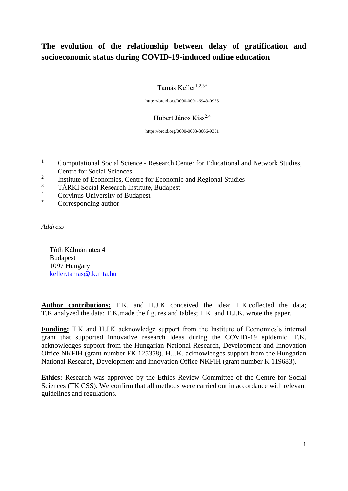# **The evolution of the relationship between delay of gratification and socioeconomic status during COVID-19-induced online education**

Tamás Keller $1,2,3^*$ 

https://orcid.org/0000-0001-6943-0955

Hubert János Kiss<sup>2,4</sup>

https://orcid.org/0000-0003-3666-9331

- <sup>1</sup> Computational Social Science Research Center for Educational and Network Studies, Centre for Social Sciences
- <sup>2</sup><br>Institute of Economics, Centre for Economic and Regional Studies
- $\frac{3}{4}$  TÁRKI Social Research Institute, Budapest
- <sup>4</sup> Corvinus University of Budapest
- Corresponding author

*Address*

Tóth Kálmán utca 4 Budapest 1097 Hungary [keller.tamas@tk.mta.hu](mailto:keller.tamas@tk.mta.hu)

**Author contributions:** T.K. and H.J.K conceived the idea; T.K.collected the data; T.K.analyzed the data; T.K.made the figures and tables; T.K. and H.J.K. wrote the paper.

**Funding:** T.K and H.J.K acknowledge support from the Institute of Economics's internal grant that supported innovative research ideas during the COVID-19 epidemic. T.K. acknowledges support from the Hungarian National Research, Development and Innovation Office NKFIH (grant number FK 125358). H.J.K. acknowledges support from the Hungarian National Research, Development and Innovation Office NKFIH (grant number K 119683).

**Ethics:** Research was approved by the Ethics Review Committee of the Centre for Social Sciences (TK CSS). We confirm that all methods were carried out in accordance with relevant guidelines and regulations.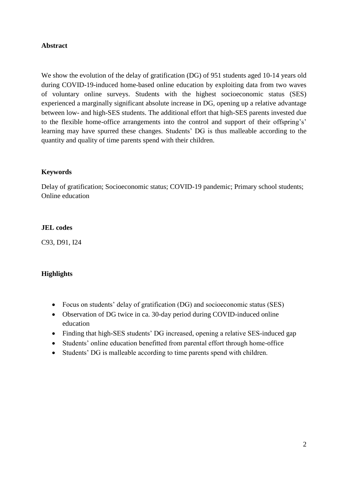## **Abstract**

We show the evolution of the delay of gratification (DG) of 951 students aged 10-14 years old during COVID-19-induced home-based online education by exploiting data from two waves of voluntary online surveys. Students with the highest socioeconomic status (SES) experienced a marginally significant absolute increase in DG, opening up a relative advantage between low- and high-SES students. The additional effort that high-SES parents invested due to the flexible home-office arrangements into the control and support of their offspring's' learning may have spurred these changes. Students' DG is thus malleable according to the quantity and quality of time parents spend with their children.

#### **Keywords**

Delay of gratification; Socioeconomic status; COVID-19 pandemic; Primary school students; Online education

#### **JEL codes**

C93, D91, I24

# **Highlights**

- Focus on students' delay of gratification (DG) and socioeconomic status (SES)
- Observation of DG twice in ca. 30-day period during COVID-induced online education
- Finding that high-SES students' DG increased, opening a relative SES-induced gap
- Students' online education benefitted from parental effort through home-office
- Students' DG is malleable according to time parents spend with children.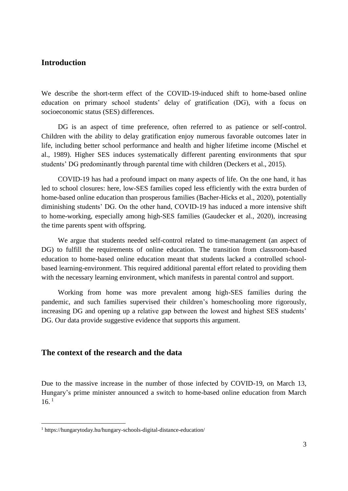# **Introduction**

We describe the short-term effect of the COVID-19-induced shift to home-based online education on primary school students' delay of gratification (DG), with a focus on socioeconomic status (SES) differences.

DG is an aspect of time preference, often referred to as patience or self-control. Children with the ability to delay gratification enjoy numerous favorable outcomes later in life, including better school performance and health and higher lifetime income (Mischel et al., 1989). Higher SES induces systematically different parenting environments that spur students' DG predominantly through parental time with children (Deckers et al., 2015).

COVID-19 has had a profound impact on many aspects of life. On the one hand, it has led to school closures: here, low-SES families coped less efficiently with the extra burden of home-based online education than prosperous families (Bacher-Hicks et al., 2020), potentially diminishing students' DG. On the other hand, COVID-19 has induced a more intensive shift to home-working, especially among high-SES families (Gaudecker et al., 2020), increasing the time parents spent with offspring.

We argue that students needed self-control related to time-management (an aspect of DG) to fulfill the requirements of online education. The transition from classroom-based education to home-based online education meant that students lacked a controlled schoolbased learning-environment. This required additional parental effort related to providing them with the necessary learning environment, which manifests in parental control and support.

Working from home was more prevalent among high-SES families during the pandemic, and such families supervised their children's homeschooling more rigorously, increasing DG and opening up a relative gap between the lowest and highest SES students' DG. Our data provide suggestive evidence that supports this argument.

# **The context of the research and the data**

Due to the massive increase in the number of those infected by COVID-19, on March 13, Hungary's prime minister announced a switch to home-based online education from March  $16.1$ 

<u>.</u>

<sup>1</sup> https://hungarytoday.hu/hungary-schools-digital-distance-education/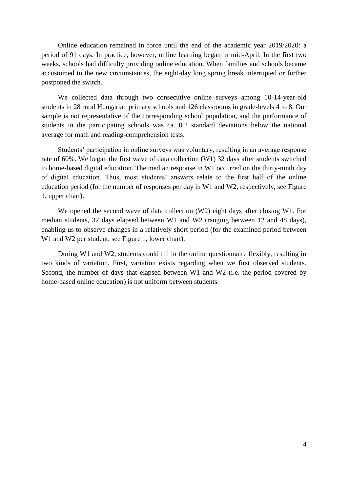Online education remained in force until the end of the academic year 2019/2020: a period of 91 days. In practice, however, online learning began in mid-April. In the first two weeks, schools had difficulty providing online education. When families and schools became accustomed to the new circumstances, the eight-day long spring break interrupted or further postponed the switch.

We collected data through two consecutive online surveys among 10-14-year-old students in 28 rural Hungarian primary schools and 126 classrooms in grade-levels 4 to 8. Our sample is not representative of the corresponding school population, and the performance of students in the participating schools was ca. 0.2 standard deviations below the national average for math and reading-comprehension tests.

Students' participation in online surveys was voluntary, resulting in an average response rate of 60%. We began the first wave of data collection (W1) 32 days after students switched to home-based digital education. The median response in W1 occurred on the thirty-ninth day of digital education. Thus, most students' answers relate to the first half of the online education period (for the number of responses per day in W1 and W2, respectively, see Figure 1, upper chart).

We opened the second wave of data collection (W2) eight days after closing W1. For median students, 32 days elapsed between W1 and W2 (ranging between 12 and 48 days), enabling us to observe changes in a relatively short period (for the examined period between W<sub>1</sub> and W<sub>2</sub> per student, see Figure 1, lower chart).

During W1 and W2, students could fill in the online questionnaire flexibly, resulting in two kinds of variation. First, variation exists regarding when we first observed students. Second, the number of days that elapsed between W1 and W2 (i.e. the period covered by home-based online education) is not uniform between students.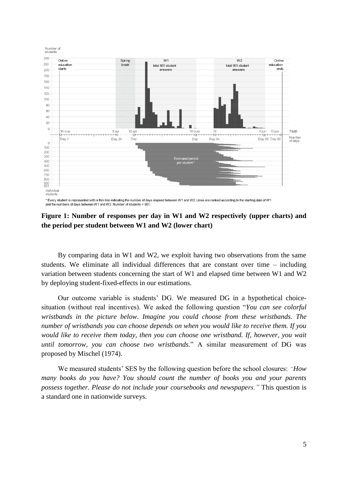

\* Every student is represented with a thin line indicating the number of days elapsed between W1 and W2. Lines are ranked according to the starting date of W1 and the numbers of days between W1 and W2. Number of students = 951

## **Figure 1: Number of responses per day in W1 and W2 respectively (upper charts) and the period per student between W1 and W2 (lower chart)**

By comparing data in W1 and W2, we exploit having two observations from the same students. We eliminate all individual differences that are constant over time – including variation between students concerning the start of W1 and elapsed time between W1 and W2 by deploying student-fixed-effects in our estimations.

Our outcome variable is students' DG. We measured DG in a hypothetical choicesituation (without real incentives). We asked the following question "*You can see colorful wristbands in the picture below. Imagine you could choose from these wristbands. The number of wristbands you can choose depends on when you would like to receive them. If you would like to receive them today, then you can choose one wristband. If, however, you wait until tomorrow, you can choose two wristbands.*" A similar measurement of DG was proposed by Mischel (1974).

We measured students' SES by the following question before the school closures: *"How many books do you have? You should count the number of books you and your parents possess together. Please do not include your coursebooks and newspapers."* This question is a standard one in nationwide surveys.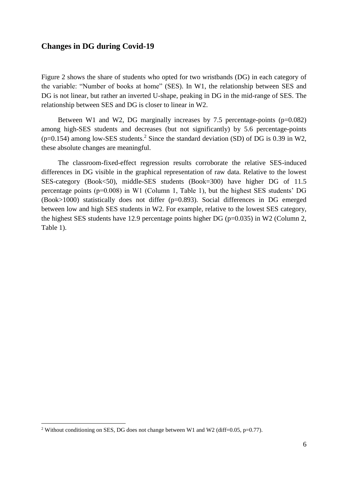# **Changes in DG during Covid-19**

Figure 2 shows the share of students who opted for two wristbands (DG) in each category of the variable: "Number of books at home" (SES). In W1, the relationship between SES and DG is not linear, but rather an inverted U-shape, peaking in DG in the mid-range of SES. The relationship between SES and DG is closer to linear in W2.

Between W1 and W2, DG marginally increases by 7.5 percentage-points  $(p=0.082)$ among high-SES students and decreases (but not significantly) by 5.6 percentage-points  $(p=0.154)$  among low-SES students.<sup>2</sup> Since the standard deviation (SD) of DG is 0.39 in W2, these absolute changes are meaningful.

The classroom-fixed-effect regression results corroborate the relative SES-induced differences in DG visible in the graphical representation of raw data. Relative to the lowest SES-category (Book<50), middle-SES students (Book=300) have higher DG of 11.5 percentage points (p=0.008) in W1 (Column 1, Table 1), but the highest SES students' DG (Book>1000) statistically does not differ (p=0.893). Social differences in DG emerged between low and high SES students in W2. For example, relative to the lowest SES category, the highest SES students have 12.9 percentage points higher DG ( $p=0.035$ ) in W2 (Column 2, Table 1).

<u>.</u>

<sup>&</sup>lt;sup>2</sup> Without conditioning on SES, DG does not change between W1 and W2 (diff=0.05, p=0.77).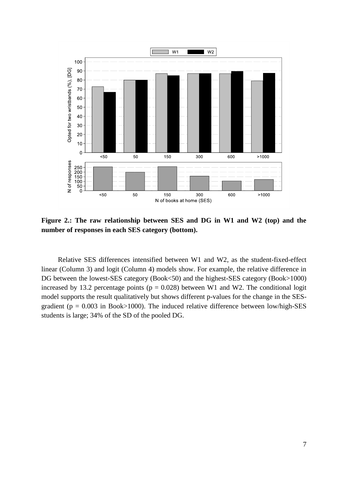

**Figure 2.: The raw relationship between SES and DG in W1 and W2 (top) and the number of responses in each SES category (bottom).** 

Relative SES differences intensified between W1 and W2, as the student-fixed-effect linear (Column 3) and logit (Column 4) models show. For example, the relative difference in DG between the lowest-SES category (Book<50) and the highest-SES category (Book>1000) increased by 13.2 percentage points ( $p = 0.028$ ) between W1 and W2. The conditional logit model supports the result qualitatively but shows different p-values for the change in the SESgradient ( $p = 0.003$  in Book>1000). The induced relative difference between low/high-SES students is large; 34% of the SD of the pooled DG.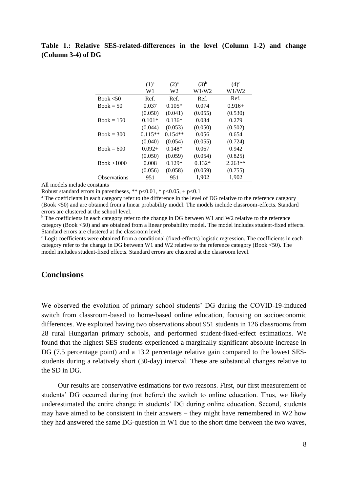# **Table 1.: Relative SES-related-differences in the level (Column 1-2) and change (Column 3-4) of DG**

|                     | $(1)^a$   | $(2)^{a}$ | $(3)^{b}$ | $(4)^c$   |
|---------------------|-----------|-----------|-----------|-----------|
|                     | W1        | W2        | W1/W2     | W1/W2     |
| Book $< 50$         | Ref.      | Ref.      | Ref.      | Ref.      |
| $Book = 50$         | 0.037     | $0.105*$  | 0.074     | $0.916+$  |
|                     | (0.050)   | (0.041)   | (0.055)   | (0.530)   |
| $Book = 150$        | $0.101*$  | $0.136*$  | 0.034     | 0.279     |
|                     | (0.044)   | (0.053)   | (0.050)   | (0.502)   |
| $Book = 300$        | $0.115**$ | $0.154**$ | 0.056     | 0.654     |
|                     | (0.040)   | (0.054)   | (0.055)   | (0.724)   |
| $Book = 600$        | $0.092+$  | $0.148*$  | 0.067     | 0.942     |
|                     | (0.050)   | (0.059)   | (0.054)   | (0.825)   |
| Book > 1000         | 0.008     | $0.129*$  | $0.132*$  | $2.263**$ |
|                     | (0.056)   | (0.058)   | (0.059)   | (0.755)   |
| <b>Observations</b> | 951       | 951       | 1,902     | 1,902     |

All models include constants

Robust standard errors in parentheses, \*\*  $p<0.01$ , \*  $p<0.05$ , +  $p<0.1$ 

<sup>a</sup> The coefficients in each category refer to the difference in the level of DG relative to the reference category (Book <50) and are obtained from a linear probability model. The models include classroom-effects. Standard errors are clustered at the school level.

 $\overline{b}$  The coefficients in each category refer to the change in DG between W1 and W2 relative to the reference category (Book <50) and are obtained from a linear probability model. The model includes student-fixed effects. Standard errors are clustered at the classroom level.

<sup>c</sup> Logit coefficients were obtained from a conditional (fixed-effects) logistic regression. The coefficients in each category refer to the change in DG between W1 and W2 relative to the reference category (Book <50). The model includes student-fixed effects. Standard errors are clustered at the classroom level.

# **Conclusions**

We observed the evolution of primary school students' DG during the COVID-19-induced switch from classroom-based to home-based online education, focusing on socioeconomic differences. We exploited having two observations about 951 students in 126 classrooms from 28 rural Hungarian primary schools, and performed student-fixed-effect estimations. We found that the highest SES students experienced a marginally significant absolute increase in DG (7.5 percentage point) and a 13.2 percentage relative gain compared to the lowest SESstudents during a relatively short (30-day) interval. These are substantial changes relative to the SD in DG.

Our results are conservative estimations for two reasons. First, our first measurement of students' DG occurred during (not before) the switch to online education. Thus, we likely underestimated the entire change in students' DG during online education. Second, students may have aimed to be consistent in their answers – they might have remembered in W2 how they had answered the same DG-question in W1 due to the short time between the two waves,